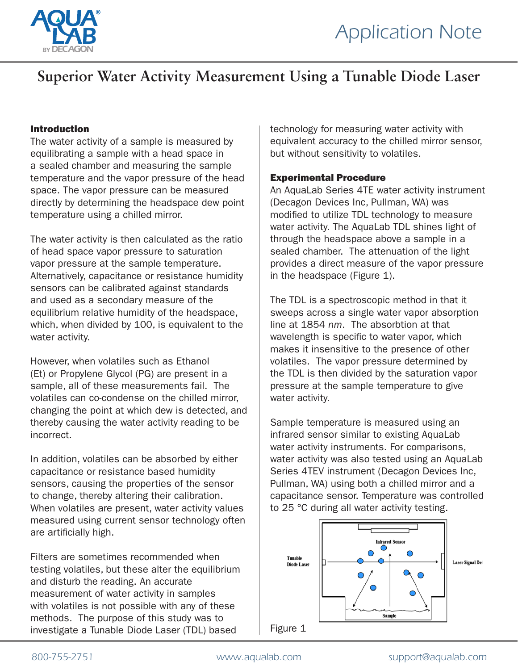

# **Superior Water Activity Measurement Using a Tunable Diode Laser**

# Introduction

The water activity of a sample is measured by equilibrating a sample with a head space in a sealed chamber and measuring the sample temperature and the vapor pressure of the head space. The vapor pressure can be measured directly by determining the headspace dew point temperature using a chilled mirror.

The water activity is then calculated as the ratio of head space vapor pressure to saturation vapor pressure at the sample temperature. Alternatively, capacitance or resistance humidity sensors can be calibrated against standards and used as a secondary measure of the equilibrium relative humidity of the headspace, which, when divided by 100, is equivalent to the water activity.

However, when volatiles such as Ethanol (Et) or Propylene Glycol (PG) are present in a sample, all of these measurements fail. The volatiles can co-condense on the chilled mirror, changing the point at which dew is detected, and thereby causing the water activity reading to be incorrect.

In addition, volatiles can be absorbed by either capacitance or resistance based humidity sensors, causing the properties of the sensor to change, thereby altering their calibration. When volatiles are present, water activity values measured using current sensor technology often are artificially high.

Filters are sometimes recommended when testing volatiles, but these alter the equilibrium and disturb the reading. An accurate measurement of water activity in samples with volatiles is not possible with any of these methods. The purpose of this study was to investigate a Tunable Diode Laser (TDL) based

technology for measuring water activity with equivalent accuracy to the chilled mirror sensor, but without sensitivity to volatiles.

### Experimental Procedure

An AquaLab Series 4TE water activity instrument (Decagon Devices Inc, Pullman, WA) was modified to utilize TDL technology to measure water activity. The AquaLab TDL shines light of through the headspace above a sample in a sealed chamber. The attenuation of the light provides a direct measure of the vapor pressure in the headspace (Figure 1).

The TDL is a spectroscopic method in that it sweeps across a single water vapor absorption line at 1854 *nm*. The absorbtion at that wavelength is specific to water vapor, which makes it insensitive to the presence of other volatiles. The vapor pressure determined by the TDL is then divided by the saturation vapor pressure at the sample temperature to give water activity.

Sample temperature is measured using an infrared sensor similar to existing AquaLab water activity instruments. For comparisons, water activity was also tested using an AquaLab Series 4TEV instrument (Decagon Devices Inc, Pullman, WA) using both a chilled mirror and a capacitance sensor. Temperature was controlled to 25 °C during all water activity testing.

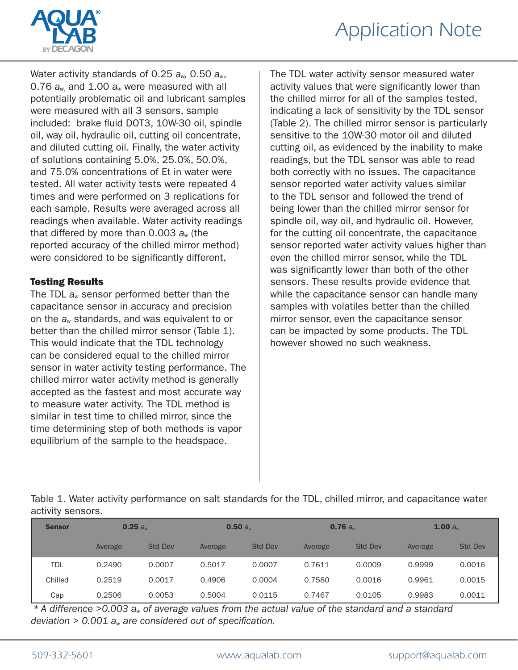



Water activity standards of 0.25 *aw,* 0.50 *aw*, 0.76 *aw*, and 1.00 *aw* were measured with all potentially problematic oil and lubricant samples were measured with all 3 sensors, sample included: brake fluid DOT3, 10W-30 oil, spindle oil, way oil, hydraulic oil, cutting oil concentrate, and diluted cutting oil. Finally, the water activity of solutions containing 5.0%, 25.0%, 50.0%, and 75.0% concentrations of Et in water were tested. All water activity tests were repeated 4 times and were performed on 3 replications for each sample. Results were averaged across all readings when available. Water activity readings that differed by more than 0.003 *aw* (the reported accuracy of the chilled mirror method) were considered to be significantly different.

# Testing Results

The TDL *aw* sensor performed better than the capacitance sensor in accuracy and precision on the *aw* standards, and was equivalent to or better than the chilled mirror sensor (Table 1). This would indicate that the TDL technology can be considered equal to the chilled mirror sensor in water activity testing performance. The chilled mirror water activity method is generally accepted as the fastest and most accurate way to measure water activity. The TDL method is similar in test time to chilled mirror, since the time determining step of both methods is vapor equilibrium of the sample to the headspace.

The TDL water activity sensor measured water activity values that were significantly lower than the chilled mirror for all of the samples tested, indicating a lack of sensitivity by the TDL sensor (Table 2). The chilled mirror sensor is particularly sensitive to the 10W-30 motor oil and diluted cutting oil, as evidenced by the inability to make readings, but the TDL sensor was able to read both correctly with no issues. The capacitance sensor reported water activity values similar to the TDL sensor and followed the trend of being lower than the chilled mirror sensor for spindle oil, way oil, and hydraulic oil. However, for the cutting oil concentrate, the capacitance sensor reported water activity values higher than even the chilled mirror sensor, while the TDL was significantly lower than both of the other sensors. These results provide evidence that while the capacitance sensor can handle many samples with volatiles better than the chilled mirror sensor, even the capacitance sensor can be impacted by some products. The TDL however showed no such weakness.

Table 1. Water activity performance on salt standards for the TDL, chilled mirror, and capacitance water activity sensors.

| <b>Sensor</b> | 0.25 a <sub>w</sub> |                | 0.50 a <sub>w</sub> |                | 0.76 a <sub>w</sub> |                | 1.00 $a_{w}$ |                |
|---------------|---------------------|----------------|---------------------|----------------|---------------------|----------------|--------------|----------------|
|               | Average             | <b>Std Dev</b> | Average             | <b>Std Dev</b> | Average             | <b>Std Dev</b> | Average      | <b>Std Dev</b> |
| <b>TDL</b>    | 0.2490              | 0.0007         | 0.5017              | 0.0007         | 0.7611              | 0.0009         | 0.9999       | 0.0016         |
| Chilled       | 0.2519              | 0.0017         | 0.4906              | 0.0004         | 0.7580              | 0.0016         | 0.9961       | 0.0015         |
| Cap           | 0.2506              | 0.0053         | 0.5004              | 0.0115         | 0.7467              | 0.0105         | 0.9983       | 0.0011         |

*\* A difference >0.003 aw of average values from the actual value of the standard and a standard deviation > 0.001 aw are considered out of specification.*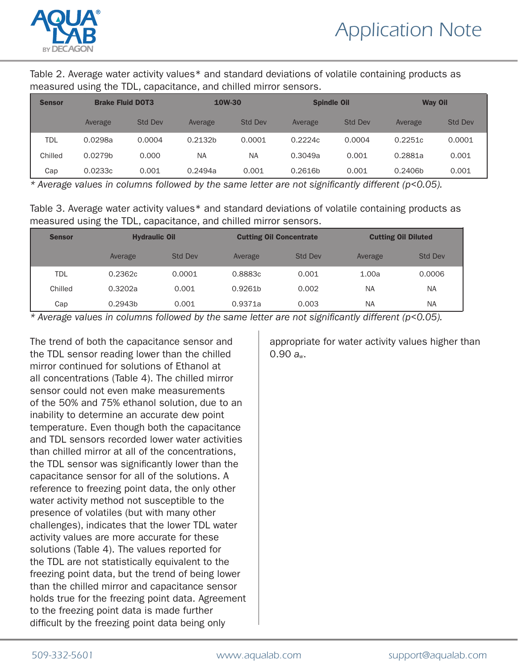

Table 2. Average water activity values\* and standard deviations of volatile containing products as measured using the TDL, capacitance, and chilled mirror sensors.

| <b>Sensor</b> | <b>Brake Fluid DOT3</b> |                | <b>10W-30</b>       |                | <b>Spindle Oil</b> |                | <b>Way Oil</b> |                |
|---------------|-------------------------|----------------|---------------------|----------------|--------------------|----------------|----------------|----------------|
|               | Average                 | <b>Std Dev</b> | Average             | <b>Std Dev</b> | Average            | <b>Std Dev</b> | Average        | <b>Std Dev</b> |
| <b>TDL</b>    | 0.0298a                 | 0.0004         | 0.2132 <sub>b</sub> | 0.0001         | 0.2224c            | 0.0004         | 0.2251c        | 0.0001         |
| Chilled       | 0.0279b                 | 0.000          | <b>NA</b>           | NA             | 0.3049a            | 0.001          | 0.2881a        | 0.001          |
| Cap           | 0.0233c                 | 0.001          | 0.2494a             | 0.001          | 0.2616b            | 0.001          | 0.2406b        | 0.001          |

*\* Average values in columns followed by the same letter are not significantly different (p<0.05).*

Table 3. Average water activity values\* and standard deviations of volatile containing products as measured using the TDL, capacitance, and chilled mirror sensors.

| <b>Sensor</b> | <b>Hydraulic Oil</b> |                | <b>Cutting Oil Concentrate</b> |                | <b>Cutting Oil Diluted</b> |                |  |
|---------------|----------------------|----------------|--------------------------------|----------------|----------------------------|----------------|--|
|               | Average              | <b>Std Dev</b> | Average                        | <b>Std Dev</b> | Average                    | <b>Std Dev</b> |  |
| <b>TDL</b>    | 0.2362c              | 0.0001         | 0.8883c                        | 0.001          | 1.00a                      | 0.0006         |  |
| Chilled       | 0.3202a              | 0.001          | 0.9261b                        | 0.002          | <b>NA</b>                  | <b>NA</b>      |  |
| Cap           | 0.2943b              | 0.001          | 0.9371a                        | 0.003          | <b>NA</b>                  | <b>NA</b>      |  |

*\* Average values in columns followed by the same letter are not significantly different (p<0.05).*

The trend of both the capacitance sensor and the TDL sensor reading lower than the chilled mirror continued for solutions of Ethanol at all concentrations (Table 4). The chilled mirror sensor could not even make measurements of the 50% and 75% ethanol solution, due to an inability to determine an accurate dew point temperature. Even though both the capacitance and TDL sensors recorded lower water activities than chilled mirror at all of the concentrations, the TDL sensor was significantly lower than the capacitance sensor for all of the solutions. A reference to freezing point data, the only other water activity method not susceptible to the presence of volatiles (but with many other challenges), indicates that the lower TDL water activity values are more accurate for these solutions (Table 4). The values reported for the TDL are not statistically equivalent to the freezing point data, but the trend of being lower than the chilled mirror and capacitance sensor holds true for the freezing point data. Agreement to the freezing point data is made further difficult by the freezing point data being only

appropriate for water activity values higher than 0.90 *aw*.